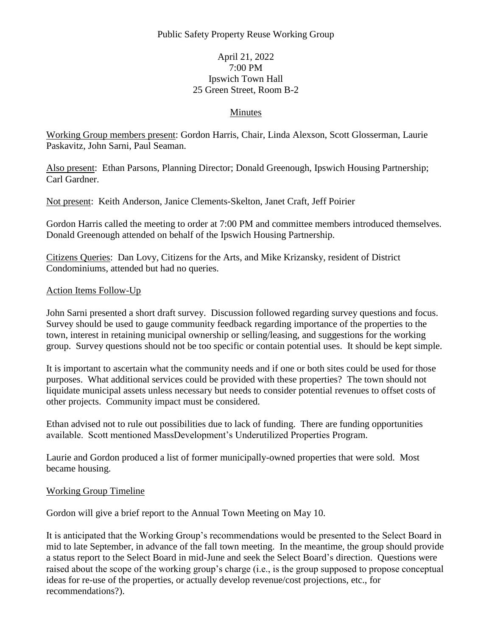## Public Safety Property Reuse Working Group

## April 21, 2022 7:00 PM Ipswich Town Hall 25 Green Street, Room B-2

#### Minutes

Working Group members present: Gordon Harris, Chair, Linda Alexson, Scott Glosserman, Laurie Paskavitz, John Sarni, Paul Seaman.

Also present: Ethan Parsons, Planning Director; Donald Greenough, Ipswich Housing Partnership; Carl Gardner.

Not present: Keith Anderson, Janice Clements-Skelton, Janet Craft, Jeff Poirier

Gordon Harris called the meeting to order at 7:00 PM and committee members introduced themselves. Donald Greenough attended on behalf of the Ipswich Housing Partnership.

Citizens Queries: Dan Lovy, Citizens for the Arts, and Mike Krizansky, resident of District Condominiums, attended but had no queries.

#### Action Items Follow-Up

John Sarni presented a short draft survey. Discussion followed regarding survey questions and focus. Survey should be used to gauge community feedback regarding importance of the properties to the town, interest in retaining municipal ownership or selling/leasing, and suggestions for the working group. Survey questions should not be too specific or contain potential uses. It should be kept simple.

It is important to ascertain what the community needs and if one or both sites could be used for those purposes. What additional services could be provided with these properties? The town should not liquidate municipal assets unless necessary but needs to consider potential revenues to offset costs of other projects. Community impact must be considered.

Ethan advised not to rule out possibilities due to lack of funding. There are funding opportunities available. Scott mentioned MassDevelopment's Underutilized Properties Program.

Laurie and Gordon produced a list of former municipally-owned properties that were sold. Most became housing.

#### Working Group Timeline

Gordon will give a brief report to the Annual Town Meeting on May 10.

It is anticipated that the Working Group's recommendations would be presented to the Select Board in mid to late September, in advance of the fall town meeting. In the meantime, the group should provide a status report to the Select Board in mid-June and seek the Select Board's direction. Questions were raised about the scope of the working group's charge (i.e., is the group supposed to propose conceptual ideas for re-use of the properties, or actually develop revenue/cost projections, etc., for recommendations?).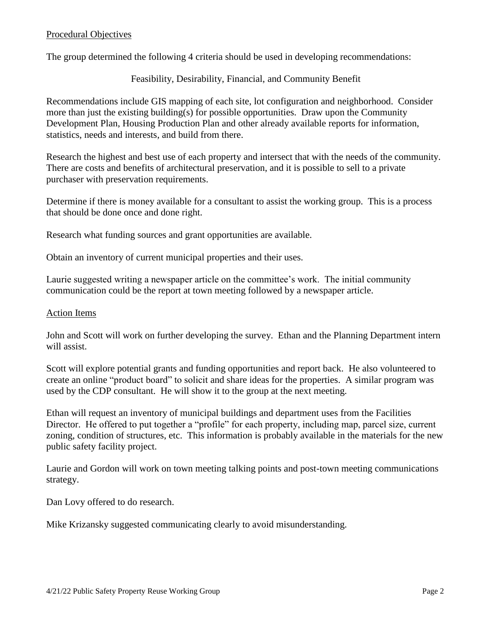#### Procedural Objectives

The group determined the following 4 criteria should be used in developing recommendations:

Feasibility, Desirability, Financial, and Community Benefit

Recommendations include GIS mapping of each site, lot configuration and neighborhood. Consider more than just the existing building(s) for possible opportunities. Draw upon the Community Development Plan, Housing Production Plan and other already available reports for information, statistics, needs and interests, and build from there.

Research the highest and best use of each property and intersect that with the needs of the community. There are costs and benefits of architectural preservation, and it is possible to sell to a private purchaser with preservation requirements.

Determine if there is money available for a consultant to assist the working group. This is a process that should be done once and done right.

Research what funding sources and grant opportunities are available.

Obtain an inventory of current municipal properties and their uses.

Laurie suggested writing a newspaper article on the committee's work. The initial community communication could be the report at town meeting followed by a newspaper article.

#### Action Items

John and Scott will work on further developing the survey. Ethan and the Planning Department intern will assist.

Scott will explore potential grants and funding opportunities and report back. He also volunteered to create an online "product board" to solicit and share ideas for the properties. A similar program was used by the CDP consultant. He will show it to the group at the next meeting.

Ethan will request an inventory of municipal buildings and department uses from the Facilities Director. He offered to put together a "profile" for each property, including map, parcel size, current zoning, condition of structures, etc. This information is probably available in the materials for the new public safety facility project.

Laurie and Gordon will work on town meeting talking points and post-town meeting communications strategy.

Dan Lovy offered to do research.

Mike Krizansky suggested communicating clearly to avoid misunderstanding.